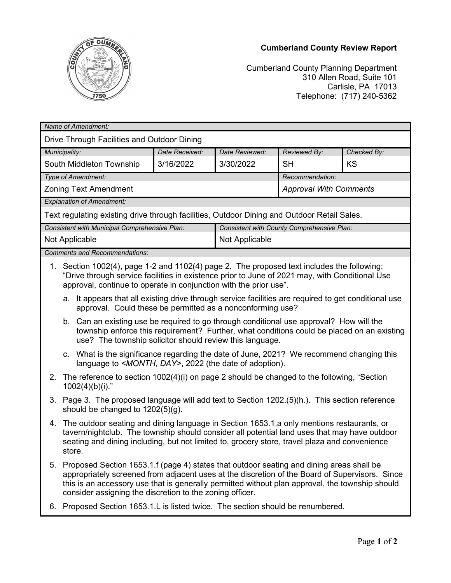

## **Cumberland County Review Report**

Cumberland County Planning Department 310 Allen Road, Suite 101 Carlisle, PA 17013 Telephone: (717) 240-5362

| Drive Through Facilities and Outdoor Dining<br>Municipality:<br>Date Received:<br>Checked By:<br>Date Reviewed:<br>Reviewed By:<br><b>KS</b><br>South Middleton Township<br>3/16/2022<br>3/30/2022<br><b>SH</b><br>Type of Amendment:<br>Recommendation:<br><b>Zoning Text Amendment</b><br><b>Approval With Comments</b><br><b>Explanation of Amendment:</b><br>Text regulating existing drive through facilities, Outdoor Dining and Outdoor Retail Sales.<br>Consistent with County Comprehensive Plan:<br>Consistent with Municipal Comprehensive Plan:<br>Not Applicable<br>Not Applicable<br><b>Comments and Recommendations:</b><br>Section 1002(4), page 1-2 and 1102(4) page 2. The proposed text includes the following:<br>1.<br>"Drive through service facilities in existence prior to June of 2021 may, with Conditional Use<br>approval, continue to operate in conjunction with the prior use".<br>a. It appears that all existing drive through service facilities are required to get conditional use<br>approval. Could these be permitted as a nonconforming use?<br>b. Can an existing use be required to go through conditional use approval? How will the<br>township enforce this requirement? Further, what conditions could be placed on an existing<br>use? The township solicitor should review this language.<br>c. What is the significance regarding the date of June, 2021? We recommend changing this<br>language to <month, day="">, 2022 (the date of adoption).<br/>2. The reference to section 1002(4)(i) on page 2 should be changed to the following, "Section<br/><math>1002(4)(b)(i).</math>"<br/>Page 3. The proposed language will add text to Section 1202.(5)(h.). This section reference<br/>3.<br/>should be changed to <math>1202(5)(g)</math>.<br/>The outdoor seating and dining language in Section 1653.1.a only mentions restaurants, or<br/>4.<br/>tavern/nightclub. The township should consider all potential land uses that may have outdoor<br/>seating and dining including, but not limited to, grocery store, travel plaza and convenience<br/>store.<br/>Proposed Section 1653.1.f (page 4) states that outdoor seating and dining areas shall be<br/>5.<br/>appropriately screened from adjacent uses at the discretion of the Board of Supervisors. Since<br/>this is an accessory use that is generally permitted without plan approval, the township should<br/>consider assigning the discretion to the zoning officer.<br/>Proposed Section 1653.1.L is listed twice. The section should be renumbered.<br/>6.</month,> | Name of Amendment: |  |  |  |  |  |  |
|---------------------------------------------------------------------------------------------------------------------------------------------------------------------------------------------------------------------------------------------------------------------------------------------------------------------------------------------------------------------------------------------------------------------------------------------------------------------------------------------------------------------------------------------------------------------------------------------------------------------------------------------------------------------------------------------------------------------------------------------------------------------------------------------------------------------------------------------------------------------------------------------------------------------------------------------------------------------------------------------------------------------------------------------------------------------------------------------------------------------------------------------------------------------------------------------------------------------------------------------------------------------------------------------------------------------------------------------------------------------------------------------------------------------------------------------------------------------------------------------------------------------------------------------------------------------------------------------------------------------------------------------------------------------------------------------------------------------------------------------------------------------------------------------------------------------------------------------------------------------------------------------------------------------------------------------------------------------------------------------------------------------------------------------------------------------------------------------------------------------------------------------------------------------------------------------------------------------------------------------------------------------------------------------------------------------------------------------------------------------------------------------------------------------------------------------------------------------------------------------------------------------------------------------------------------------------------------------|--------------------|--|--|--|--|--|--|
|                                                                                                                                                                                                                                                                                                                                                                                                                                                                                                                                                                                                                                                                                                                                                                                                                                                                                                                                                                                                                                                                                                                                                                                                                                                                                                                                                                                                                                                                                                                                                                                                                                                                                                                                                                                                                                                                                                                                                                                                                                                                                                                                                                                                                                                                                                                                                                                                                                                                                                                                                                                             |                    |  |  |  |  |  |  |
|                                                                                                                                                                                                                                                                                                                                                                                                                                                                                                                                                                                                                                                                                                                                                                                                                                                                                                                                                                                                                                                                                                                                                                                                                                                                                                                                                                                                                                                                                                                                                                                                                                                                                                                                                                                                                                                                                                                                                                                                                                                                                                                                                                                                                                                                                                                                                                                                                                                                                                                                                                                             |                    |  |  |  |  |  |  |
|                                                                                                                                                                                                                                                                                                                                                                                                                                                                                                                                                                                                                                                                                                                                                                                                                                                                                                                                                                                                                                                                                                                                                                                                                                                                                                                                                                                                                                                                                                                                                                                                                                                                                                                                                                                                                                                                                                                                                                                                                                                                                                                                                                                                                                                                                                                                                                                                                                                                                                                                                                                             |                    |  |  |  |  |  |  |
|                                                                                                                                                                                                                                                                                                                                                                                                                                                                                                                                                                                                                                                                                                                                                                                                                                                                                                                                                                                                                                                                                                                                                                                                                                                                                                                                                                                                                                                                                                                                                                                                                                                                                                                                                                                                                                                                                                                                                                                                                                                                                                                                                                                                                                                                                                                                                                                                                                                                                                                                                                                             |                    |  |  |  |  |  |  |
|                                                                                                                                                                                                                                                                                                                                                                                                                                                                                                                                                                                                                                                                                                                                                                                                                                                                                                                                                                                                                                                                                                                                                                                                                                                                                                                                                                                                                                                                                                                                                                                                                                                                                                                                                                                                                                                                                                                                                                                                                                                                                                                                                                                                                                                                                                                                                                                                                                                                                                                                                                                             |                    |  |  |  |  |  |  |
|                                                                                                                                                                                                                                                                                                                                                                                                                                                                                                                                                                                                                                                                                                                                                                                                                                                                                                                                                                                                                                                                                                                                                                                                                                                                                                                                                                                                                                                                                                                                                                                                                                                                                                                                                                                                                                                                                                                                                                                                                                                                                                                                                                                                                                                                                                                                                                                                                                                                                                                                                                                             |                    |  |  |  |  |  |  |
|                                                                                                                                                                                                                                                                                                                                                                                                                                                                                                                                                                                                                                                                                                                                                                                                                                                                                                                                                                                                                                                                                                                                                                                                                                                                                                                                                                                                                                                                                                                                                                                                                                                                                                                                                                                                                                                                                                                                                                                                                                                                                                                                                                                                                                                                                                                                                                                                                                                                                                                                                                                             |                    |  |  |  |  |  |  |
|                                                                                                                                                                                                                                                                                                                                                                                                                                                                                                                                                                                                                                                                                                                                                                                                                                                                                                                                                                                                                                                                                                                                                                                                                                                                                                                                                                                                                                                                                                                                                                                                                                                                                                                                                                                                                                                                                                                                                                                                                                                                                                                                                                                                                                                                                                                                                                                                                                                                                                                                                                                             |                    |  |  |  |  |  |  |
|                                                                                                                                                                                                                                                                                                                                                                                                                                                                                                                                                                                                                                                                                                                                                                                                                                                                                                                                                                                                                                                                                                                                                                                                                                                                                                                                                                                                                                                                                                                                                                                                                                                                                                                                                                                                                                                                                                                                                                                                                                                                                                                                                                                                                                                                                                                                                                                                                                                                                                                                                                                             |                    |  |  |  |  |  |  |
|                                                                                                                                                                                                                                                                                                                                                                                                                                                                                                                                                                                                                                                                                                                                                                                                                                                                                                                                                                                                                                                                                                                                                                                                                                                                                                                                                                                                                                                                                                                                                                                                                                                                                                                                                                                                                                                                                                                                                                                                                                                                                                                                                                                                                                                                                                                                                                                                                                                                                                                                                                                             |                    |  |  |  |  |  |  |
|                                                                                                                                                                                                                                                                                                                                                                                                                                                                                                                                                                                                                                                                                                                                                                                                                                                                                                                                                                                                                                                                                                                                                                                                                                                                                                                                                                                                                                                                                                                                                                                                                                                                                                                                                                                                                                                                                                                                                                                                                                                                                                                                                                                                                                                                                                                                                                                                                                                                                                                                                                                             |                    |  |  |  |  |  |  |
|                                                                                                                                                                                                                                                                                                                                                                                                                                                                                                                                                                                                                                                                                                                                                                                                                                                                                                                                                                                                                                                                                                                                                                                                                                                                                                                                                                                                                                                                                                                                                                                                                                                                                                                                                                                                                                                                                                                                                                                                                                                                                                                                                                                                                                                                                                                                                                                                                                                                                                                                                                                             |                    |  |  |  |  |  |  |
|                                                                                                                                                                                                                                                                                                                                                                                                                                                                                                                                                                                                                                                                                                                                                                                                                                                                                                                                                                                                                                                                                                                                                                                                                                                                                                                                                                                                                                                                                                                                                                                                                                                                                                                                                                                                                                                                                                                                                                                                                                                                                                                                                                                                                                                                                                                                                                                                                                                                                                                                                                                             |                    |  |  |  |  |  |  |
|                                                                                                                                                                                                                                                                                                                                                                                                                                                                                                                                                                                                                                                                                                                                                                                                                                                                                                                                                                                                                                                                                                                                                                                                                                                                                                                                                                                                                                                                                                                                                                                                                                                                                                                                                                                                                                                                                                                                                                                                                                                                                                                                                                                                                                                                                                                                                                                                                                                                                                                                                                                             |                    |  |  |  |  |  |  |
|                                                                                                                                                                                                                                                                                                                                                                                                                                                                                                                                                                                                                                                                                                                                                                                                                                                                                                                                                                                                                                                                                                                                                                                                                                                                                                                                                                                                                                                                                                                                                                                                                                                                                                                                                                                                                                                                                                                                                                                                                                                                                                                                                                                                                                                                                                                                                                                                                                                                                                                                                                                             |                    |  |  |  |  |  |  |
|                                                                                                                                                                                                                                                                                                                                                                                                                                                                                                                                                                                                                                                                                                                                                                                                                                                                                                                                                                                                                                                                                                                                                                                                                                                                                                                                                                                                                                                                                                                                                                                                                                                                                                                                                                                                                                                                                                                                                                                                                                                                                                                                                                                                                                                                                                                                                                                                                                                                                                                                                                                             |                    |  |  |  |  |  |  |
|                                                                                                                                                                                                                                                                                                                                                                                                                                                                                                                                                                                                                                                                                                                                                                                                                                                                                                                                                                                                                                                                                                                                                                                                                                                                                                                                                                                                                                                                                                                                                                                                                                                                                                                                                                                                                                                                                                                                                                                                                                                                                                                                                                                                                                                                                                                                                                                                                                                                                                                                                                                             |                    |  |  |  |  |  |  |
|                                                                                                                                                                                                                                                                                                                                                                                                                                                                                                                                                                                                                                                                                                                                                                                                                                                                                                                                                                                                                                                                                                                                                                                                                                                                                                                                                                                                                                                                                                                                                                                                                                                                                                                                                                                                                                                                                                                                                                                                                                                                                                                                                                                                                                                                                                                                                                                                                                                                                                                                                                                             |                    |  |  |  |  |  |  |
|                                                                                                                                                                                                                                                                                                                                                                                                                                                                                                                                                                                                                                                                                                                                                                                                                                                                                                                                                                                                                                                                                                                                                                                                                                                                                                                                                                                                                                                                                                                                                                                                                                                                                                                                                                                                                                                                                                                                                                                                                                                                                                                                                                                                                                                                                                                                                                                                                                                                                                                                                                                             |                    |  |  |  |  |  |  |